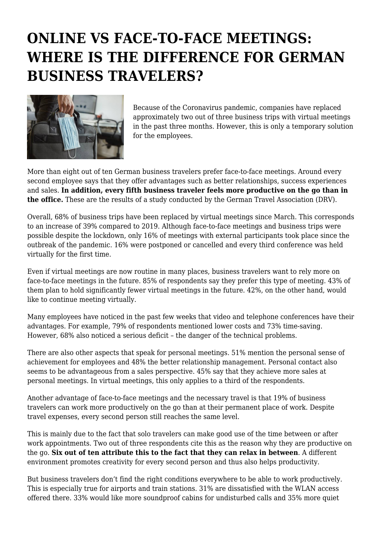## **ONLINE VS FACE-TO-FACE MEETINGS: WHERE IS THE DIFFERENCE FOR GERMAN BUSINESS TRAVELERS?**



Because of the Coronavirus pandemic, companies have replaced approximately two out of three business trips with virtual meetings in the past three months. However, this is only a temporary solution for the employees.

More than eight out of ten German business travelers prefer face-to-face meetings. Around every second employee says that they offer advantages such as better relationships, success experiences and sales. **In addition, every fifth business traveler feels more productive on the go than in the office.** These are the results of a study conducted by the German Travel Association (DRV).

Overall, 68% of business trips have been replaced by virtual meetings since March. This corresponds to an increase of 39% compared to 2019. Although face-to-face meetings and business trips were possible despite the lockdown, only 16% of meetings with external participants took place since the outbreak of the pandemic. 16% were postponed or cancelled and every third conference was held virtually for the first time.

Even if virtual meetings are now routine in many places, business travelers want to rely more on face-to-face meetings in the future. 85% of respondents say they prefer this type of meeting. 43% of them plan to hold significantly fewer virtual meetings in the future. 42%, on the other hand, would like to continue meeting virtually.

Many employees have noticed in the past few weeks that video and telephone conferences have their advantages. For example, 79% of respondents mentioned lower costs and 73% time-saving. However, 68% also noticed a serious deficit – the danger of the technical problems.

There are also other aspects that speak for personal meetings. 51% mention the personal sense of achievement for employees and 48% the better relationship management. Personal contact also seems to be advantageous from a sales perspective. 45% say that they achieve more sales at personal meetings. In virtual meetings, this only applies to a third of the respondents.

Another advantage of face-to-face meetings and the necessary travel is that 19% of business travelers can work more productively on the go than at their permanent place of work. Despite travel expenses, every second person still reaches the same level.

This is mainly due to the fact that solo travelers can make good use of the time between or after work appointments. Two out of three respondents cite this as the reason why they are productive on the go. **Six out of ten attribute this to the fact that they can relax in between**. A different environment promotes creativity for every second person and thus also helps productivity.

But business travelers don't find the right conditions everywhere to be able to work productively. This is especially true for airports and train stations. 31% are dissatisfied with the WLAN access offered there. 33% would like more soundproof cabins for undisturbed calls and 35% more quiet